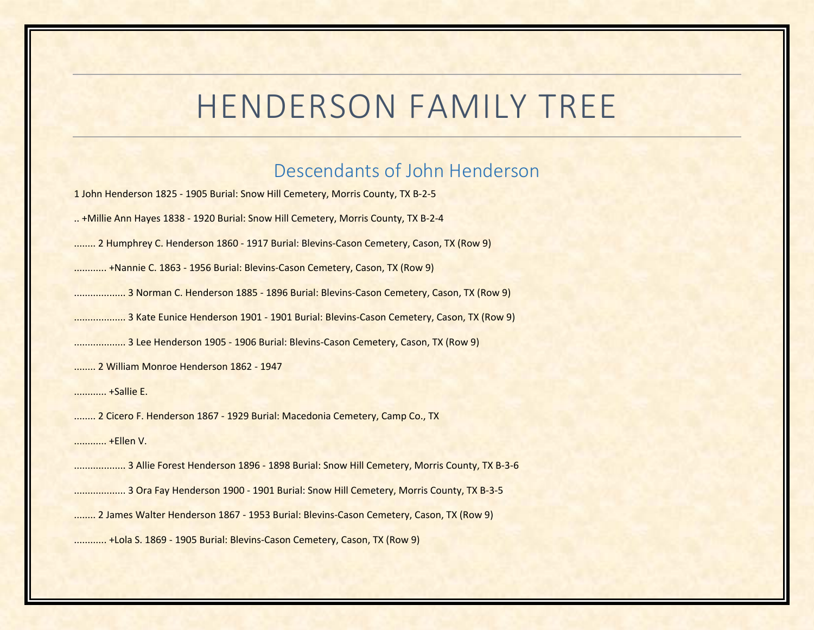## HENDERSON FAMILY TREE

## Descendants of John Henderson

1 John Henderson 1825 ‐ 1905 Burial: Snow Hill Cemetery, Morris County, TX B‐2‐5

.. +Millie Ann Hayes 1838 ‐ 1920 Burial: Snow Hill Cemetery, Morris County, TX B‐2‐4

........ 2 Humphrey C. Henderson 1860 ‐ 1917 Burial: Blevins‐Cason Cemetery, Cason, TX (Row 9)

............ +Nannie C. 1863 ‐ 1956 Burial: Blevins‐Cason Cemetery, Cason, TX (Row 9)

................... 3 Norman C. Henderson 1885 ‐ 1896 Burial: Blevins‐Cason Cemetery, Cason, TX (Row 9)

................... 3 Kate Eunice Henderson 1901 ‐ 1901 Burial: Blevins‐Cason Cemetery, Cason, TX (Row 9)

................... 3 Lee Henderson 1905 ‐ 1906 Burial: Blevins‐Cason Cemetery, Cason, TX (Row 9)

........ 2 William Monroe Henderson 1862 ‐ 1947

............ +Sallie E.

........ 2 Cicero F. Henderson 1867 ‐ 1929 Burial: Macedonia Cemetery, Camp Co., TX

............ +Ellen V.

................... 3 Allie Forest Henderson 1896 ‐ 1898 Burial: Snow Hill Cemetery, Morris County, TX B‐3‐6

................... 3 Ora Fay Henderson 1900 ‐ 1901 Burial: Snow Hill Cemetery, Morris County, TX B‐3‐5

........ 2 James Walter Henderson 1867 ‐ 1953 Burial: Blevins‐Cason Cemetery, Cason, TX (Row 9)

............ +Lola S. 1869 ‐ 1905 Burial: Blevins‐Cason Cemetery, Cason, TX (Row 9)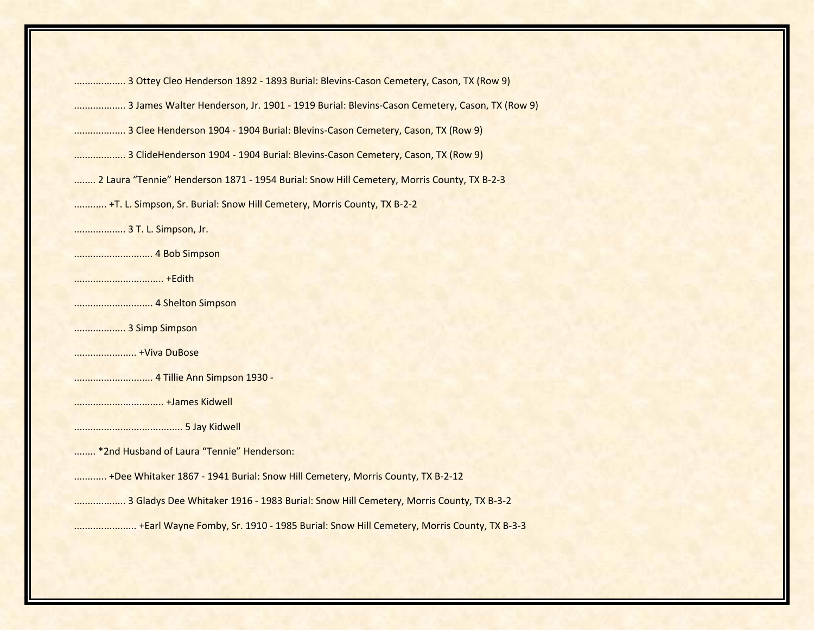................... 3 Ottey Cleo Henderson 1892 ‐ 1893 Burial: Blevins‐Cason Cemetery, Cason, TX (Row 9) ................... 3 James Walter Henderson, Jr. 1901 ‐ 1919 Burial: Blevins‐Cason Cemetery, Cason, TX (Row 9) ................... 3 Clee Henderson 1904 ‐ 1904 Burial: Blevins‐Cason Cemetery, Cason, TX (Row 9) ................... 3 ClideHenderson 1904 ‐ 1904 Burial: Blevins‐Cason Cemetery, Cason, TX (Row 9) ........ 2 Laura "Tennie" Henderson 1871 - 1954 Burial: Snow Hill Cemetery, Morris County, TX B-2-3 ............ +T. L. Simpson, Sr. Burial: Snow Hill Cemetery, Morris County, TX B‐2‐2 ................... 3 T. L. Simpson, Jr. ............................. 4 Bob Simpson ................................. +Edith ............................. 4 Shelton Simpson ................... 3 Simp Simpson ....................... +Viva DuBose ............................. 4 Tillie Ann Simpson 1930 ‐ ................................. +James Kidwell ........................................ 5 Jay Kidwell ........ \*2nd Husband of Laura "Tennie" Henderson: ............ +Dee Whitaker 1867 ‐ 1941 Burial: Snow Hill Cemetery, Morris County, TX B‐2‐12 ................... 3 Gladys Dee Whitaker 1916 ‐ 1983 Burial: Snow Hill Cemetery, Morris County, TX B‐3‐2 ....................... +Earl Wayne Fomby, Sr. 1910 ‐ 1985 Burial: Snow Hill Cemetery, Morris County, TX B‐3‐3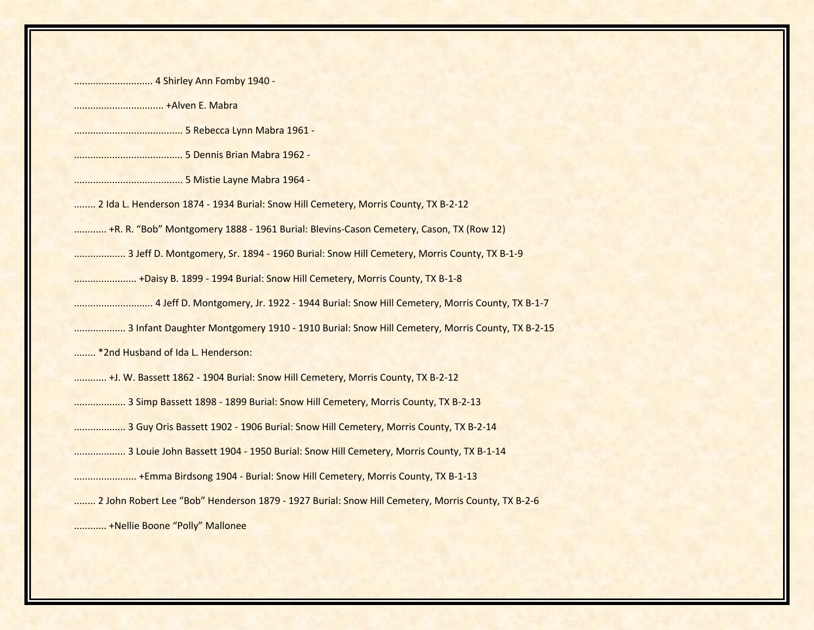| 4 Shirley Ann Fomby 1940 -                                                                        |
|---------------------------------------------------------------------------------------------------|
|                                                                                                   |
|                                                                                                   |
|                                                                                                   |
|                                                                                                   |
| 2 Ida L. Henderson 1874 - 1934 Burial: Snow Hill Cemetery, Morris County, TX B-2-12               |
| +R. R. "Bob" Montgomery 1888 - 1961 Burial: Blevins-Cason Cemetery, Cason, TX (Row 12)            |
| 3 Jeff D. Montgomery, Sr. 1894 - 1960 Burial: Snow Hill Cemetery, Morris County, TX B-1-9         |
| +Daisy B. 1899 - 1994 Burial: Snow Hill Cemetery, Morris County, TX B-1-8                         |
|                                                                                                   |
| 3 Infant Daughter Montgomery 1910 - 1910 Burial: Snow Hill Cemetery, Morris County, TX B-2-15     |
| *2nd Husband of Ida L. Henderson:                                                                 |
| +J. W. Bassett 1862 - 1904 Burial: Snow Hill Cemetery, Morris County, TX B-2-12                   |
| 3 Simp Bassett 1898 - 1899 Burial: Snow Hill Cemetery, Morris County, TX B-2-13                   |
| 3 Guy Oris Bassett 1902 - 1906 Burial: Snow Hill Cemetery, Morris County, TX B-2-14               |
| 3 Louie John Bassett 1904 - 1950 Burial: Snow Hill Cemetery, Morris County, TX B-1-14             |
|                                                                                                   |
| 2 John Robert Lee "Bob" Henderson 1879 - 1927 Burial: Snow Hill Cemetery, Morris County, TX B-2-6 |
| +Nellie Boone "Polly" Mallonee                                                                    |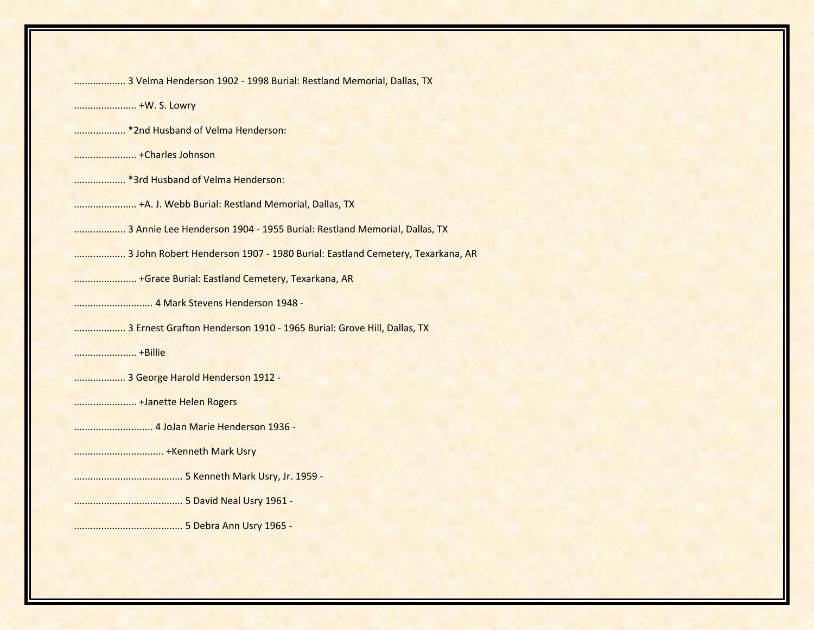| 3 Velma Henderson 1902 - 1998 Burial: Restland Memorial, Dallas, TX          |
|------------------------------------------------------------------------------|
|                                                                              |
| * 2nd Husband of Velma Henderson:                                            |
|                                                                              |
| * 3rd Husband of Velma Henderson:                                            |
| +A. J. Webb Burial: Restland Memorial, Dallas, TX                            |
| 3 Annie Lee Henderson 1904 - 1955 Burial: Restland Memorial, Dallas, TX      |
| 3 John Robert Henderson 1907 - 1980 Burial: Eastland Cemetery, Texarkana, AR |
| +Grace Burial: Eastland Cemetery, Texarkana, AR                              |
|                                                                              |
| 3 Ernest Grafton Henderson 1910 - 1965 Burial: Grove Hill, Dallas, TX        |
|                                                                              |
| 3 George Harold Henderson 1912 -                                             |
| +Janette Helen Rogers                                                        |
|                                                                              |
|                                                                              |
|                                                                              |
|                                                                              |
|                                                                              |
|                                                                              |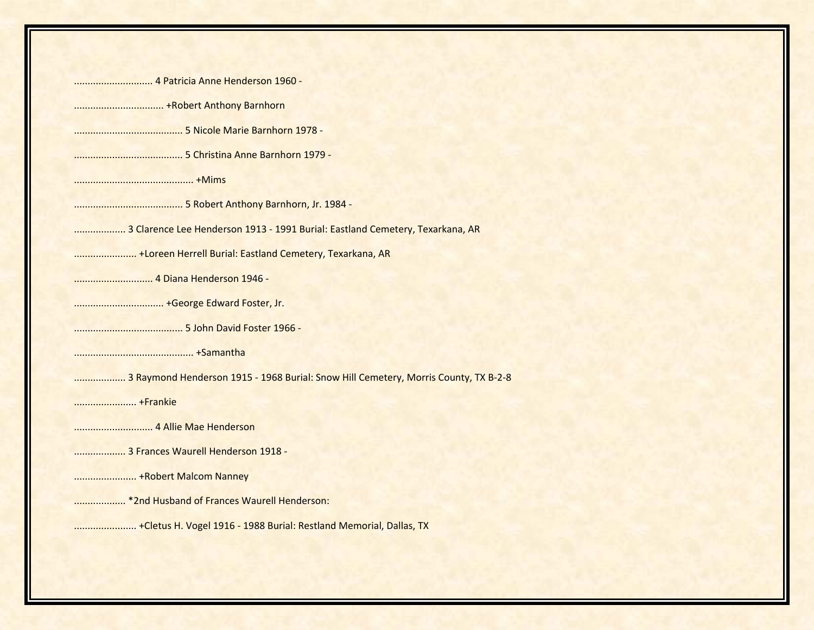| 3 Clarence Lee Henderson 1913 - 1991 Burial: Eastland Cemetery, Texarkana, AR       |
|-------------------------------------------------------------------------------------|
| +Loreen Herrell Burial: Eastland Cemetery, Texarkana, AR                            |
|                                                                                     |
|                                                                                     |
|                                                                                     |
|                                                                                     |
| 3 Raymond Henderson 1915 - 1968 Burial: Snow Hill Cemetery, Morris County, TX B-2-8 |
|                                                                                     |
|                                                                                     |
| 3 Frances Waurell Henderson 1918 -                                                  |
|                                                                                     |
| * 2nd Husband of Frances Waurell Henderson:                                         |
| + Cletus H. Vogel 1916 - 1988 Burial: Restland Memorial, Dallas, TX                 |
|                                                                                     |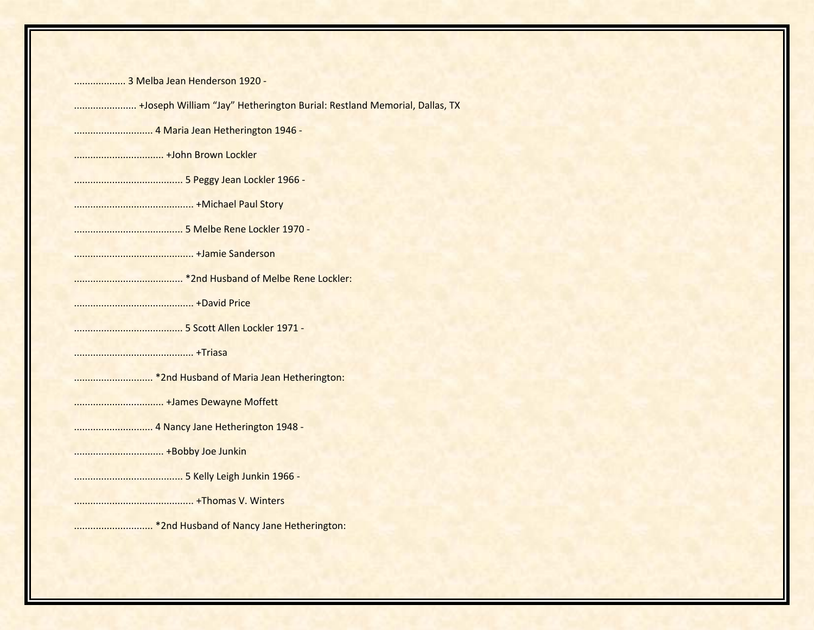................... 3 Melba Jean Henderson 1920 ‐

....................... +Joseph William "Jay" Hetherington Burial: Restland Memorial, Dallas, TX

............................. 4 Maria Jean Hetherington 1946 ‐

................................. +John Brown Lockler

........................................ 5 Peggy Jean Lockler 1966 ‐

............................................ +Michael Paul Story

........................................ 5 Melbe Rene Lockler 1970 ‐

............................................ +Jamie Sanderson

........................................ \*2nd Husband of Melbe Rene Lockler:

............................................ +David Price

........................................ 5 Scott Allen Lockler 1971 ‐

............................................ +Triasa

............................. \*2nd Husband of Maria Jean Hetherington:

................................. +James Dewayne Moffett

............................. 4 Nancy Jane Hetherington 1948 ‐

................................. +Bobby Joe Junkin

........................................ 5 Kelly Leigh Junkin 1966 ‐

............................................ +Thomas V. Winters

............................. \*2nd Husband of Nancy Jane Hetherington: